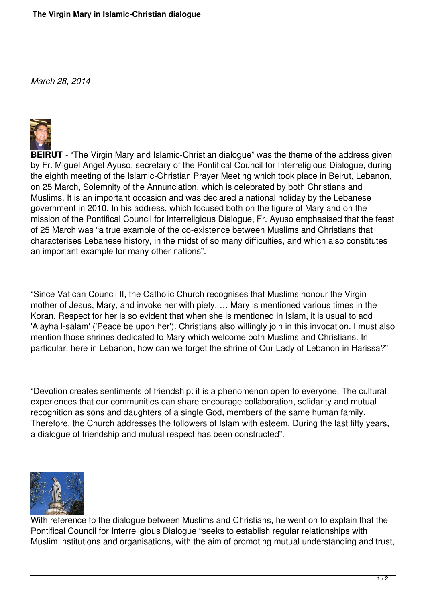*March 28, 2014*



**BEIRUT** - "The Virgin Mary and Islamic-Christian dialogue" was the theme of the address given by Fr. Miguel Angel Ayuso, secretary of the Pontifical Council for Interreligious Dialogue, during the eighth meeting of the Islamic-Christian Prayer Meeting which took place in Beirut, Lebanon, on 25 March, Solemnity of the Annunciation, which is celebrated by both Christians and Muslims. It is an important occasion and was declared a national holiday by the Lebanese government in 2010. In his address, which focused both on the figure of Mary and on the mission of the Pontifical Council for Interreligious Dialogue, Fr. Ayuso emphasised that the feast of 25 March was "a true example of the co-existence between Muslims and Christians that characterises Lebanese history, in the midst of so many difficulties, and which also constitutes an important example for many other nations".

"Since Vatican Council II, the Catholic Church recognises that Muslims honour the Virgin mother of Jesus, Mary, and invoke her with piety. … Mary is mentioned various times in the Koran. Respect for her is so evident that when she is mentioned in Islam, it is usual to add 'Alayha l-salam' ('Peace be upon her'). Christians also willingly join in this invocation. I must also mention those shrines dedicated to Mary which welcome both Muslims and Christians. In particular, here in Lebanon, how can we forget the shrine of Our Lady of Lebanon in Harissa?"

"Devotion creates sentiments of friendship: it is a phenomenon open to everyone. The cultural experiences that our communities can share encourage collaboration, solidarity and mutual recognition as sons and daughters of a single God, members of the same human family. Therefore, the Church addresses the followers of Islam with esteem. During the last fifty years, a dialogue of friendship and mutual respect has been constructed".



With reference to the dialogue between Muslims and Christians, he went on to explain that the Pontifical Council for Interreligious Dialogue "seeks to establish regular relationships with Muslim institutions and organisations, with the aim of promoting mutual understanding and trust,